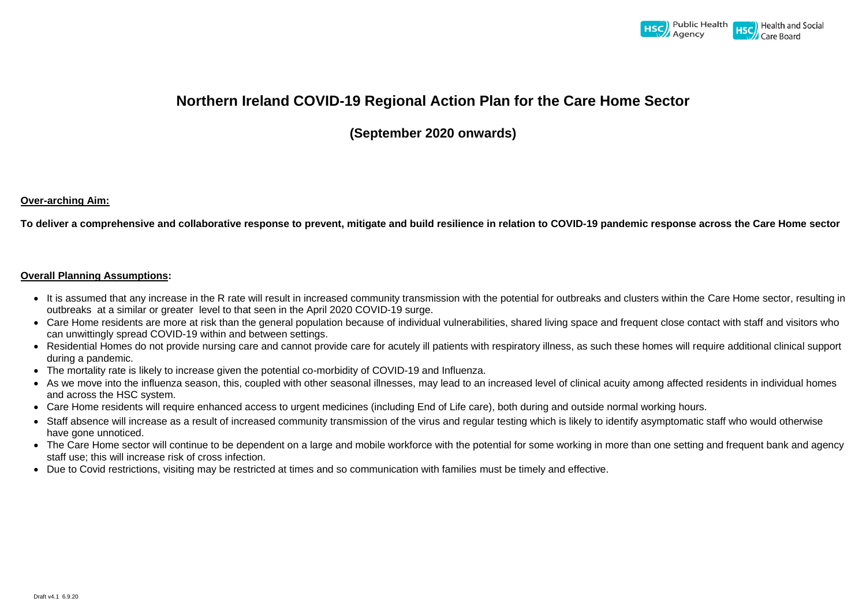

# **Northern Ireland COVID-19 Regional Action Plan for the Care Home Sector**

**(September 2020 onwards)**

# **Over-arching Aim:**

**To deliver a comprehensive and collaborative response to prevent, mitigate and build resilience in relation to COVID-19 pandemic response across the Care Home sector**

### **Overall Planning Assumptions:**

- It is assumed that any increase in the R rate will result in increased community transmission with the potential for outbreaks and clusters within the Care Home sector, resulting in outbreaks at a similar or greater level to that seen in the April 2020 COVID-19 surge.
- Care Home residents are more at risk than the general population because of individual vulnerabilities, shared living space and frequent close contact with staff and visitors who can unwittingly spread COVID-19 within and between settings.
- Residential Homes do not provide nursing care and cannot provide care for acutely ill patients with respiratory illness, as such these homes will require additional clinical support during a pandemic.
- The mortality rate is likely to increase given the potential co-morbidity of COVID-19 and Influenza.
- As we move into the influenza season, this, coupled with other seasonal illnesses, may lead to an increased level of clinical acuity among affected residents in individual homes and across the HSC system.
- Care Home residents will require enhanced access to urgent medicines (including End of Life care), both during and outside normal working hours.
- Staff absence will increase as a result of increased community transmission of the virus and regular testing which is likely to identify asymptomatic staff who would otherwise have gone unnoticed.
- The Care Home sector will continue to be dependent on a large and mobile workforce with the potential for some working in more than one setting and frequent bank and agency staff use; this will increase risk of cross infection.
- Due to Covid restrictions, visiting may be restricted at times and so communication with families must be timely and effective.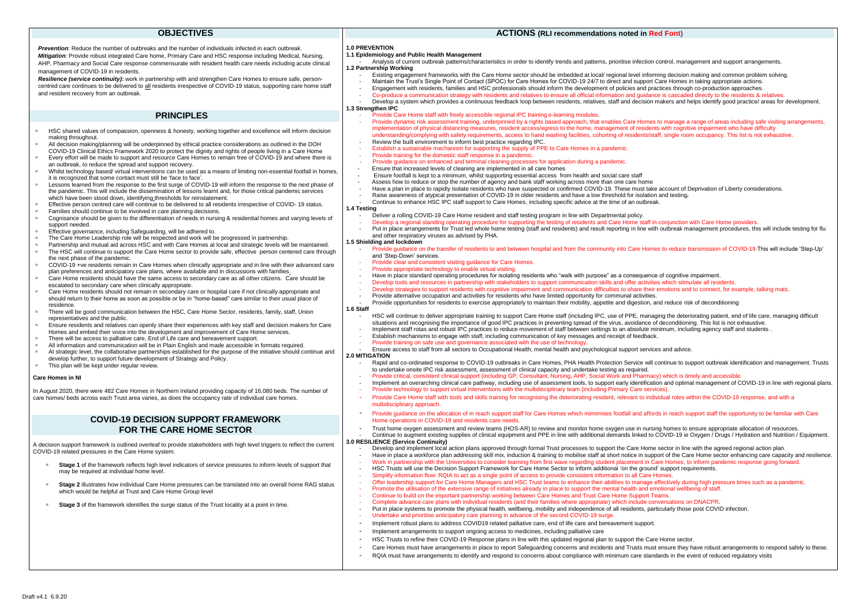#### **OBJECTIVES**

*Prevention*: Reduce the number of outbreaks and the number of individuals infected in each outbreak. *Mitigation:* Provide robust integrated Care home, Primary Care and HSC response including Medical, Nursing, AHP, Pharmacy and Social Care response commensurate with resident health care needs including acute clinical management of COVID-19 in residents.

*Resilience (service continuity)***:** work in partnership with and strengthen Care Homes to ensure safe, personcentred care continues to be delivered to all residents irrespective of COVID-19 status, supporting care home staff and resident recovery from an outbreak.

#### **PRINCIPLES**

- **Stage 1** of the framework reflects high level indicators of service pressures to inform levels of support that may be required at individual home level.
- **Stage 2** illustrates how individual Care Home pressures can be translated into an overall home RAG status which would be helpful at Trust and Care Home Group level
- **Stage 3** of the framework identifies the surge status of the Trust locality at a point in time.
- HSC shared values of compassion, openness & honesty, working together and excellence will inform decision making throughout.
- All decision making/planning will be underpinned by ethical practice considerations as outlined in the DOH
- COVID-19 Clinical Ethics Framework 2020 to protect the dignity and rights of people living in a Care Home Every effort will be made to support and resource Care Homes to remain free of COVID-19 and where there is an outbreak, to reduce the spread and support recovery.
- Whilst technology based/ virtual interventions can be used as a means of limiting non-essential footfall in homes, it is recognized that some contact must still be 'face to face'.
- Lessons learned from the response to the first surge of COVID-19 will inform the response to the next phase of the pandemic. This will include the dissemination of lessons learnt and, for those critical pandemic services which have been stood down, identifying thresholds for reinstatement.
- Effective person centred care will continue to be delivered to all residents irrespective of COVID- 19 status.
- Families should continue to be involved in care planning decisions.<br>Connisance should be given to the differentiation of needs in nursing Cognisance should be given to the differentiation of needs in nursing & residential homes and varying levels of support needed.
- Effective governance, including Safeguarding, will be adhered to.
- <sup>o</sup> The Care Home Leadership role will be respected and work will be progressed in partnership.
- Partnership and mutual aid across HSC and with Care Homes at local and strategic levels will be maintained.
- The HSC will continue to support the Care Home sector to provide safe, effective person centered care through the next phase of the pandemic.
- COVID-19 +ve residents remain in Care Homes when clinically appropriate and in line with their advanced care plan preferences and anticipatory care plans, where available and in discussions with families.
- Care Home residents should have the same access to secondary care as all other citizens. Care should be escalated to secondary care when clinically appropriate.
- Care Home residents should not remain in secondary care or hospital care if not clinically appropriate and should return to their home as soon as possible or be in "home-based" care similar to their usual place of residence.
- There will be good communication between the HSC, Care Home Sector, residents, family, staff, Union representatives and the public.
- Ensure residents and relatives can openly share their experiences with key staff and decision makers for Care Homes and embed their voice into the development and improvement of Care Home services.
- There will be access to palliative care, End of Life care and bereavement support.
- All information and communication will be in Plain English and made accessible in formats required.
- At strategic level, the collaborative partnerships established for the purpose of the initiative should continue and develop further, to support future development of Strategy and Policy.
- This plan will be kept under regular review.

#### **Care Homes in NI**

In August 2020, there were 482 Care Homes in Northern Ireland providing capacity of 16,080 beds. The number of care homes/ beds across each Trust area varies, as does the occupancy rate of individual care homes.

- Deliver a rolling COVID-19 Care Home resident and staff testing program in line with Departmental policy.
- Develop a regional standing operating procedure for supporting the testing of residents and Care Home staff in conjunction with Care Home providers.
- Put in place arrangements for Trust led whole home testing (staff and residents) and result reporting in line with outbreak management procedures, this will include testing for flu and other respiratory viruses as advised by PHA.

### **COVID-19 DECISION SUPPORT FRAMEWORK FOR THE CARE HOME SECTOR**

A decision support framework is outlined overleaf to provide stakeholders with high level triggers to reflect the current COVID-19 related pressures in the Care Home system.

#### **ACTIONS (RLI recommendations noted in Red Font)**



Develop and implement local action plans approved through formal Trust processes to support the Care Home sector in line with the agreed regional action plan.

#### **1.0 PREVENTION**

#### **1.1 Epidemiology and Public Health Management**

- Analysis of current outbreak patterns/characteristics in order to identify trends and patterns, prioritise infection control, management and support arrangements. **1.2 Partnership Working**
	- Existing engagement frameworks with the Care Home sector should be imbedded at local/ regional level informing decision making and common problem solving.
- Maintain the Trust's Single Point of Contact (SPOC) for Care Homes for COVID-19 24/7 to direct and support Care Homes in taking appropriate actions.
- Engagement with residents, families and HSC professionals should inform the development of policies and practices through co-production approaches. Co-produce a communication strategy with residents and relatives to ensure all official information and guidance is cascaded directly to the residents & relatives.
- Develop a system which provides a continuous feedback loop between residents, relatives, staff and decision makers and helps identify good practice/ areas for development.

#### **1.3 Strengthen IPC**

- Provide Care Home staff with freely accessible regional IPC training e-learning modules.
- Provide dynamic risk assessment training, underpinned by a rights based approach, that enables Care Homes to manage a range of areas including safe visiting arrangements, implementation of physical distancing measures, resident access/egress to the home, management of residents with cognitive impairment who have difficulty understanding/complying with safety requirements, access to hand washing facilities, cohorting of residents/staff, single room occupancy. This list is not exhaustive. Review the built environment to inform best practice regarding IPC.
- Establish a sustainable mechanism for supporting the supply of PPE to Care Homes in a pandemic.
- Provide training for the domestic staff response in a pandemic.
- 
- Provide guidance on enhanced and terminal cleaning processes for application during a pandemic.
- Ensure that increased levels of cleaning are implemented in all care homes
- Ensure footfall is kept to a minimum, whilst supporting essential access from health and social care staff Assess how to reduce or stop the number of agency and bank staff working across more than one care home
- Have a plan in place to rapidly isolate residents who have suspected or confirmed COVID-19. These must take account of Deprivation of Liberty considerations.
- 
- Raise awareness of atypical presentation of COVID-19 in older residents and have a low threshold for isolation and testing**.** Continue to enhance HSC IPC staff support to Care Homes, including specific advice at the time of an outbreak.

#### **1.4 Testing**

#### **1.5 Shielding and lockdown**

- Provide guidance on the transfer of residents to and between hospital and from the community into Care Homes to reduce transmission of COVID-19. This will include 'Step-Up' and 'Step-Down' services.
- Provide clear and consistent visiting guidance for Care Homes.
- Provide appropriate technology to enable virtual visiting.
- Have in place standard operating procedures for isolating residents who "walk with purpose" as a consequence of cognitive impairment.
- Develop tools and resources in partnership with stakeholders to support communication skills and offer activities which stimulate all residents.
- Develop strategies to support residents with cognitive impairment and communication difficulties to share their emotions and to connect, for example, talking mats.
- Provide alternative occupation and activities for residents who have limited opportunity for communal activities.
- Provide opportunities for residents to exercise appropriately to maintain their mobility, appetite and digestion, and reduce risk of deconditioning

#### **1.6 Staff**

- HSC will continue to deliver appropriate training to support Care Home staff (including IPC, use of PPE, managing the deteriorating patient, end of life care, managing difficult situations and recognising the importance of good IPC practices in preventing spread of the virus, avoidance of deconditioning. This list is not exhaustive.
- Implement staff rotas and robust IPC practices to reduce movement of staff between settings to an absolute minimum, including agency staff and students.
- Establish mechanisms to engage with staff, including communication of key messages and receipt of feedback.
- Provide training on safe use and governance associated with the use of technolog

#### - Ensure access to staff from all sectors to Occupational Health, mental health and psychological support services and advice. **2.0 MITIGATION**

- Rapid and co-ordinated response to COVID-19 outbreaks in Care Homes, PHA Health Protection Service will continue to support outbreak identification and management. Trusts to undertake onsite IPC risk assessment, assessment of clinical capacity and undertake testing as required.
- Provide critical, consistent clinical support (including GP, Consultant, Nursing, AHP, Social Work and Pharmacy) which is timely and accessible
- Implement an overarching clinical care pathway, including use of assessment tools, to support early identification and optimal management of COVID-19 in line with regional plans.
- Provide technology to support virtual interventions with the multidisciplinary team (including Primary Care services).
- Provide Care Home staff with tools and skills training for recognising the deteriorating resident, relevant to individual roles within the COVID-19 response, and with a multidisciplinary approach.
- Provide guidance on the allocation of in reach support staff for Care Homes which mimimises footfall and affords in reach support staff the opportunity to be familiar with Care Home operations in COVID-19 and residents care needs.
- Trust home oxygen assessment and review teams (HOS-AR) to review and monitor home oxygen use in nursing homes to ensure appropriate allocation of resources. - Continue to augment existing supplies of clinical equipment and PPE in line with additional demands linked to COVID-19 ie Oxygen / Drugs / Hydration and Nutrition / Equipment.

#### **3.0 RESILIENCE (Service Continuity)**

Have in place a workforce plan addressing skill mix, induction & training to mobilise staff at short notice in support of the Care Home sector enhancing care capacity and resilience. - Work in partnership with the Universities to consider learning from first wave regarding student placement in Care Homes, to inform pandemic response going forward. HSC Trusts will use the Decision Support Framework for Care Home Sector to inform additional 'on the ground' support requirements. Simplify information flow: RQIA to act as a single point of access to provide consistent information to all Care Homes Offer leadership support for Care Home Managers and HSC Trust teams to enhance their abilities to manage effectively during high pressure times such as a pandemic. Promote the utilisation of the extensive range of initiatives already in place to support the mental health and emotional wellbeing of staff. Continue to build on the important partnership working between Care Homes and Trust Care Home Support Teams. - Complete advance care plans with individual residents (and their families where appropriate) which include conversations on DNACPR. Put in place systems to promote the physical health, wellbeing, mobility and independence of all residents, particularly those post COVID infection. Undertake and prioritise anticipatory care planning in advance of the second COVID-19 surge. Implement robust plans to address COVID19 related palliative care, end of life care and bereavement support. Implement arrangements to support ongoing access to medicines, including palliative care HSC Trusts to refine their COVID-19 Response plans in line with this updated regional plan to support the Care Home sector. Care Homes must have arrangements in place to report Safeguarding concerns and incidents and Trusts must ensure they have robust arrangements to respond safely to these. RQIA must have arrangements to identify and respond to concerns about compliance with minimum care standards in the event of reduced regulatory visits